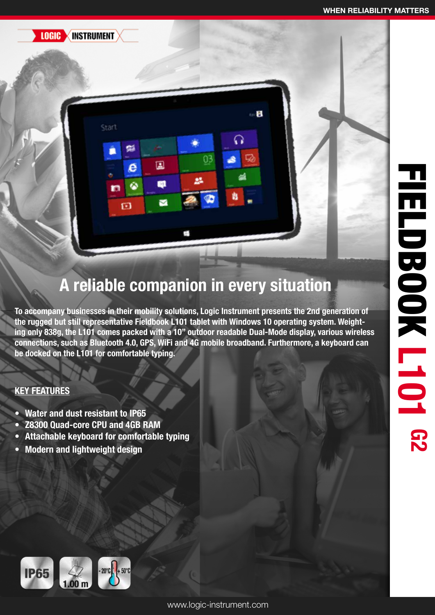**LOGIC INSTRUMENT** 

Start

酯

e

۵

回

 $\Box$ 

Ø

 $\blacksquare$ 

## A reliable companion in every situation

ດ

Ŵ

 $\Box$ 

 $03$ 

鵐

To accompany businesses in their mobility solutions, Logic Instrument presents the 2nd generation of the rugged but still representative Fieldbook L101 tablet with Windows 10 operating system. Weighting only 838g, the L101 comes packed with a 10" outdoor readable Dual-Mode display, various wireless connections, such as Bluetooth 4.0, GPS, WiFi and 4G mobile broadband. Furthermore, a keyboard can be docked on the L101 for comfortable typing.

## KEY FEATURES

- Water and dust resistant to IP65
- Z8300 Quad-core CPU and 4GB RAM
- Attachable keyboard for comfortable typing
- Modern and lightweight design